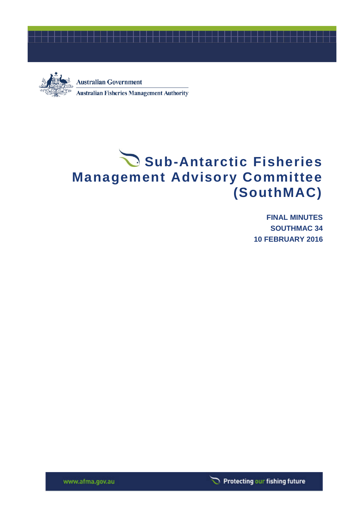



**Australian Government Australian Fisheries Management Authority** 

# Sub-Antarctic Fisheries **Management Advisory Committee (SouthMAC)**

**FINAL MINUTES SOUTHMAC 34 10 FEBRUARY 2016**

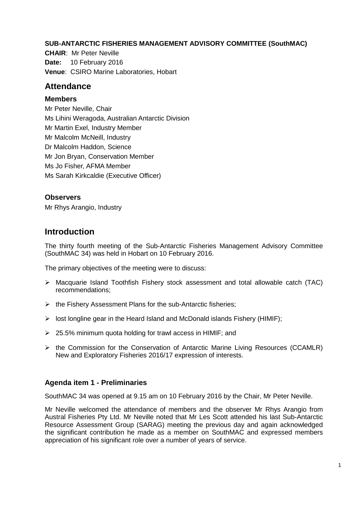#### **SUB-ANTARCTIC FISHERIES MANAGEMENT ADVISORY COMMITTEE (SouthMAC)**

**CHAIR**: Mr Peter Neville **Date:** 10 February 2016 **Venue**: CSIRO Marine Laboratories, Hobart

# **Attendance**

#### **Members**

Mr Peter Neville, Chair Ms Lihini Weragoda, Australian Antarctic Division Mr Martin Exel, Industry Member Mr Malcolm McNeill, Industry Dr Malcolm Haddon, Science Mr Jon Bryan, Conservation Member Ms Jo Fisher, AFMA Member Ms Sarah Kirkcaldie (Executive Officer)

# **Observers**

Mr Rhys Arangio, Industry

# **Introduction**

The thirty fourth meeting of the Sub-Antarctic Fisheries Management Advisory Committee (SouthMAC 34) was held in Hobart on 10 February 2016.

The primary objectives of the meeting were to discuss:

- Macquarie Island Toothfish Fishery stock assessment and total allowable catch (TAC) recommendations;
- $\triangleright$  the Fishery Assessment Plans for the sub-Antarctic fisheries;
- $\triangleright$  lost longline gear in the Heard Island and McDonald islands Fishery (HIMIF);
- 25.5% minimum quota holding for trawl access in HIMIF; and
- $\triangleright$  the Commission for the Conservation of Antarctic Marine Living Resources (CCAMLR) New and Exploratory Fisheries 2016/17 expression of interests.

# **Agenda item 1 - Preliminaries**

SouthMAC 34 was opened at 9.15 am on 10 February 2016 by the Chair, Mr Peter Neville.

Mr Neville welcomed the attendance of members and the observer Mr Rhys Arangio from Austral Fisheries Pty Ltd. Mr Neville noted that Mr Les Scott attended his last Sub-Antarctic Resource Assessment Group (SARAG) meeting the previous day and again acknowledged the significant contribution he made as a member on SouthMAC and expressed members appreciation of his significant role over a number of years of service.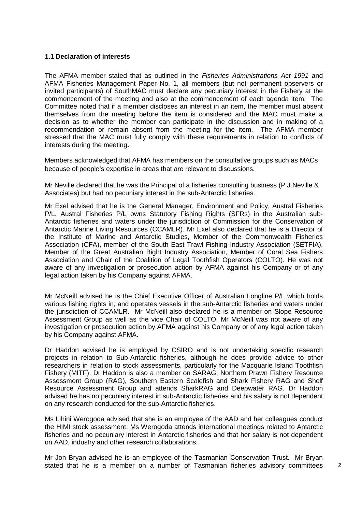#### **1.1 Declaration of interests**

The AFMA member stated that as outlined in the *Fisheries Administrations Act 1991* and AFMA Fisheries Management Paper No. 1, all members (but not permanent observers or invited participants) of SouthMAC must declare any pecuniary interest in the Fishery at the commencement of the meeting and also at the commencement of each agenda item. The Committee noted that if a member discloses an interest in an item, the member must absent themselves from the meeting before the item is considered and the MAC must make a decision as to whether the member can participate in the discussion and in making of a recommendation or remain absent from the meeting for the item. The AFMA member stressed that the MAC must fully comply with these requirements in relation to conflicts of interests during the meeting**.** 

Members acknowledged that AFMA has members on the consultative groups such as MACs because of people's expertise in areas that are relevant to discussions.

Mr Neville declared that he was the Principal of a fisheries consulting business (P.J.Neville & Associates) but had no pecuniary interest in the sub-Antarctic fisheries.

Mr Exel advised that he is the General Manager, Environment and Policy, Austral Fisheries P/L. Austral Fisheries P/L owns Statutory Fishing Rights (SFRs) in the Australian sub-Antarctic fisheries and waters under the jurisdiction of Commission for the Conservation of Antarctic Marine Living Resources (CCAMLR). Mr Exel also declared that he is a Director of the Institute of Marine and Antarctic Studies, Member of the Commonwealth Fisheries Association (CFA), member of the South East Trawl Fishing Industry Association (SETFIA), Member of the Great Australian Bight Industry Association, Member of Coral Sea Fishers Association and Chair of the Coalition of Legal Toothfish Operators (COLTO). He was not aware of any investigation or prosecution action by AFMA against his Company or of any legal action taken by his Company against AFMA.

Mr McNeill advised he is the Chief Executive Officer of Australian Longline P/L which holds various fishing rights in, and operates vessels in the sub-Antarctic fisheries and waters under the jurisdiction of CCAMLR. Mr McNeill also declared he is a member on Slope Resource Assessment Group as well as the vice Chair of COLTO. Mr McNeill was not aware of any investigation or prosecution action by AFMA against his Company or of any legal action taken by his Company against AFMA.

Dr Haddon advised he is employed by CSIRO and is not undertaking specific research projects in relation to Sub-Antarctic fisheries, although he does provide advice to other researchers in relation to stock assessments, particularly for the Macquarie Island Toothfish Fishery (MITF). Dr Haddon is also a member on SARAG, Northern Prawn Fishery Resource Assessment Group (RAG), Southern Eastern Scalefish and Shark Fishery RAG and Shelf Resource Assessment Group and attends SharkRAG and Deepwater RAG. Dr Haddon advised he has no pecuniary interest in sub-Antarctic fisheries and his salary is not dependent on any research conducted for the sub-Antarctic fisheries.

Ms Lihini Werogoda advised that she is an employee of the AAD and her colleagues conduct the HIMI stock assessment. Ms Werogoda attends international meetings related to Antarctic fisheries and no pecuniary interest in Antarctic fisheries and that her salary is not dependent on AAD, industry and other research collaborations.

Mr Jon Bryan advised he is an employee of the Tasmanian Conservation Trust. Mr Bryan stated that he is a member on a number of Tasmanian fisheries advisory committees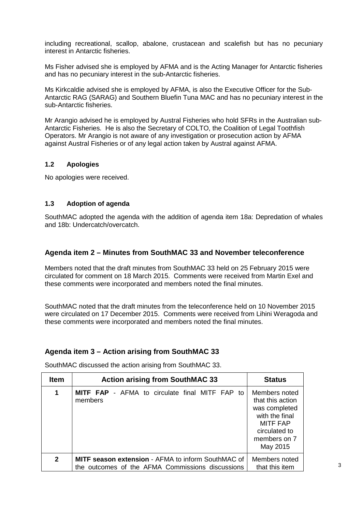including recreational, scallop, abalone, crustacean and scalefish but has no pecuniary interest in Antarctic fisheries.

Ms Fisher advised she is employed by AFMA and is the Acting Manager for Antarctic fisheries and has no pecuniary interest in the sub-Antarctic fisheries.

Ms Kirkcaldie advised she is employed by AFMA, is also the Executive Officer for the Sub-Antarctic RAG (SARAG) and Southern Bluefin Tuna MAC and has no pecuniary interest in the sub-Antarctic fisheries.

Mr Arangio advised he is employed by Austral Fisheries who hold SFRs in the Australian sub-Antarctic Fisheries. He is also the Secretary of COLTO, the Coalition of Legal Toothfish Operators. Mr Arangio is not aware of any investigation or prosecution action by AFMA against Austral Fisheries or of any legal action taken by Austral against AFMA.

#### **1.2 Apologies**

No apologies were received.

#### **1.3 Adoption of agenda**

SouthMAC adopted the agenda with the addition of agenda item 18a: Depredation of whales and 18b: Undercatch/overcatch.

#### **Agenda item 2 – Minutes from SouthMAC 33 and November teleconference**

Members noted that the draft minutes from SouthMAC 33 held on 25 February 2015 were circulated for comment on 18 March 2015. Comments were received from Martin Exel and these comments were incorporated and members noted the final minutes.

SouthMAC noted that the draft minutes from the teleconference held on 10 November 2015 were circulated on 17 December 2015. Comments were received from Lihini Weragoda and these comments were incorporated and members noted the final minutes.

#### **Agenda item 3 – Action arising from SouthMAC 33**

| <b>Item</b>  | <b>Action arising from SouthMAC 33</b>                                                                        | <b>Status</b>                                                                                                                        |
|--------------|---------------------------------------------------------------------------------------------------------------|--------------------------------------------------------------------------------------------------------------------------------------|
| 1            | <b>MITF FAP</b> - AFMA to circulate final MITF FAP to<br>members                                              | Members noted<br>that this action<br>was completed<br>with the final<br><b>MITF FAP</b><br>circulated to<br>members on 7<br>May 2015 |
| $\mathbf{2}$ | <b>MITF season extension - AFMA to inform SouthMAC of</b><br>the outcomes of the AFMA Commissions discussions | Members noted<br>that this item                                                                                                      |

SouthMAC discussed the action arising from SouthMAC 33.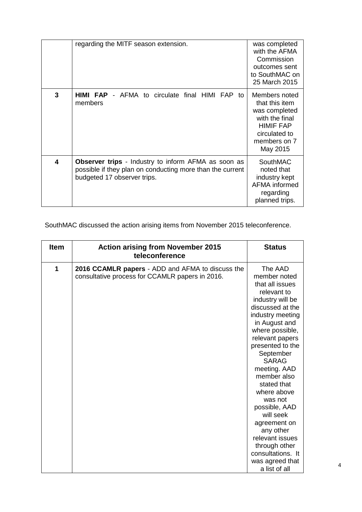|   | regarding the MITF season extension.                                                                                                                   | was completed<br>with the AFMA<br>Commission<br>outcomes sent<br>to SouthMAC on<br>25 March 2015                                    |
|---|--------------------------------------------------------------------------------------------------------------------------------------------------------|-------------------------------------------------------------------------------------------------------------------------------------|
| 3 | - AFMA to circulate final HIMI FAP to<br>HIMI FAP<br>members                                                                                           | Members noted<br>that this item<br>was completed<br>with the final<br><b>HIMIF FAP</b><br>circulated to<br>members on 7<br>May 2015 |
| 4 | <b>Observer trips</b> - Industry to inform AFMA as soon as<br>possible if they plan on conducting more than the current<br>budgeted 17 observer trips. | SouthMAC<br>noted that<br>industry kept<br>AFMA informed<br>regarding<br>planned trips.                                             |

SouthMAC discussed the action arising items from November 2015 teleconference.

| 2016 CCAMLR papers - ADD and AFMA to discuss the<br>1<br>The AAD                                                                                                                                                                                                                                                                                                                                                                                                                                      | <b>Item</b> |
|-------------------------------------------------------------------------------------------------------------------------------------------------------------------------------------------------------------------------------------------------------------------------------------------------------------------------------------------------------------------------------------------------------------------------------------------------------------------------------------------------------|-------------|
| consultative process for CCAMLR papers in 2016.<br>member noted<br>that all issues<br>relevant to<br>industry will be<br>discussed at the<br>industry meeting<br>in August and<br>where possible,<br>relevant papers<br>presented to the<br>September<br><b>SARAG</b><br>meeting. AAD<br>member also<br>stated that<br>where above<br>was not<br>possible, AAD<br>will seek<br>agreement on<br>any other<br>relevant issues<br>through other<br>consultations. It<br>was agreed that<br>a list of all |             |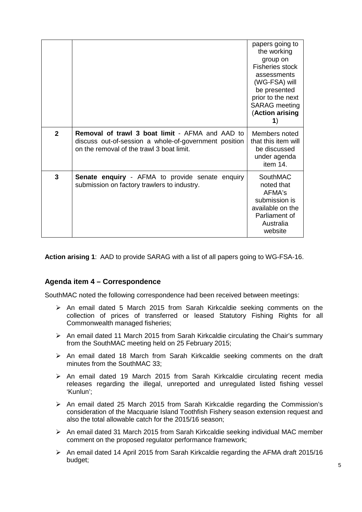|              |                                                                                                                                                       | papers going to<br>the working<br>group on<br><b>Fisheries stock</b><br>assessments<br>(WG-FSA) will<br>be presented<br>prior to the next<br><b>SARAG</b> meeting<br>(Action arising<br>1) |
|--------------|-------------------------------------------------------------------------------------------------------------------------------------------------------|--------------------------------------------------------------------------------------------------------------------------------------------------------------------------------------------|
| $\mathbf{2}$ | Removal of trawl 3 boat limit - AFMA and AAD to<br>discuss out-of-session a whole-of-government position<br>on the removal of the trawl 3 boat limit. | Members noted<br>that this item will<br>be discussed<br>under agenda<br>item 14.                                                                                                           |
| 3            | Senate enquiry - AFMA to provide senate enquiry<br>submission on factory trawlers to industry.                                                        | SouthMAC<br>noted that<br>AFMA's<br>submission is<br>available on the<br>Parliament of<br>Australia<br>website                                                                             |

**Action arising 1**: AAD to provide SARAG with a list of all papers going to WG-FSA-16.

# **Agenda item 4 – Correspondence**

SouthMAC noted the following correspondence had been received between meetings:

- $\triangleright$  An email dated 5 March 2015 from Sarah Kirkcaldie seeking comments on the collection of prices of transferred or leased Statutory Fishing Rights for all Commonwealth managed fisheries;
- $\triangleright$  An email dated 11 March 2015 from Sarah Kirkcaldie circulating the Chair's summary from the SouthMAC meeting held on 25 February 2015;
- $\triangleright$  An email dated 18 March from Sarah Kirkcaldie seeking comments on the draft minutes from the SouthMAC 33;
- $\geq$  An email dated 19 March 2015 from Sarah Kirkcaldie circulating recent media releases regarding the illegal, unreported and unregulated listed fishing vessel 'Kunlun';
- $\triangleright$  An email dated 25 March 2015 from Sarah Kirkcaldie regarding the Commission's consideration of the Macquarie Island Toothfish Fishery season extension request and also the total allowable catch for the 2015/16 season;
- $\triangleright$  An email dated 31 March 2015 from Sarah Kirkcaldie seeking individual MAC member comment on the proposed regulator performance framework;
- An email dated 14 April 2015 from Sarah Kirkcaldie regarding the AFMA draft 2015/16 budget;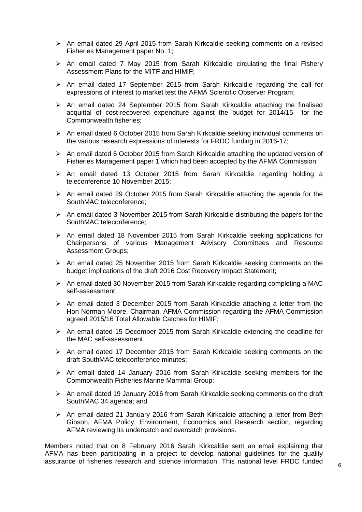- An email dated 29 April 2015 from Sarah Kirkcaldie seeking comments on a revised Fisheries Management paper No. 1;
- $\triangleright$  An email dated 7 May 2015 from Sarah Kirkcaldie circulating the final Fishery Assessment Plans for the MITF and HIMIF;
- $\triangleright$  An email dated 17 September 2015 from Sarah Kirkcaldie regarding the call for expressions of interest to market test the AFMA Scientific Observer Program;
- $\triangleright$  An email dated 24 September 2015 from Sarah Kirkcaldie attaching the finalised acquittal of cost-recovered expenditure against the budget for 2014/15 for the Commonwealth fisheries;
- An email dated 6 October 2015 from Sarah Kirkcaldie seeking individual comments on the various research expressions of interests for FRDC funding in 2016-17;
- $\triangleright$  An email dated 6 October 2015 from Sarah Kirkcaldie attaching the updated version of Fisheries Management paper 1 which had been accepted by the AFMA Commission;
- An email dated 13 October 2015 from Sarah Kirkcaldie regarding holding a teleconference 10 November 2015;
- $\triangleright$  An email dated 29 October 2015 from Sarah Kirkcaldie attaching the agenda for the SouthMAC teleconference;
- An email dated 3 November 2015 from Sarah Kirkcaldie distributing the papers for the SouthMAC teleconference;
- An email dated 18 November 2015 from Sarah Kirkcaldie seeking applications for Chairpersons of various Management Advisory Committees and Resource Assessment Groups;
- $\triangleright$  An email dated 25 November 2015 from Sarah Kirkcaldie seeking comments on the budget implications of the draft 2016 Cost Recovery Impact Statement;
- $\triangleright$  An email dated 30 November 2015 from Sarah Kirkcaldie regarding completing a MAC self-assessment;
- $\triangleright$  An email dated 3 December 2015 from Sarah Kirkcaldie attaching a letter from the Hon Norman Moore, Chairman, AFMA Commission regarding the AFMA Commission agreed 2015/16 Total Allowable Catches for HIMIF;
- $\triangleright$  An email dated 15 December 2015 from Sarah Kirkcaldie extending the deadline for the MAC self-assessment.
- An email dated 17 December 2015 from Sarah Kirkcaldie seeking comments on the draft SouthMAC teleconference minutes;
- $\triangleright$  An email dated 14 January 2016 from Sarah Kirkcaldie seeking members for the Commonwealth Fisheries Marine Mammal Group;
- $\triangleright$  An email dated 19 January 2016 from Sarah Kirkcaldie seeking comments on the draft SouthMAC 34 agenda; and
- $\triangleright$  An email dated 21 January 2016 from Sarah Kirkcaldie attaching a letter from Beth Gibson, AFMA Policy, Environment, Economics and Research section, regarding AFMA reviewing its undercatch and overcatch provisions.

Members noted that on 8 February 2016 Sarah Kirkcaldie sent an email explaining that AFMA has been participating in a project to develop national guidelines for the quality assurance of fisheries research and science information. This national level FRDC funded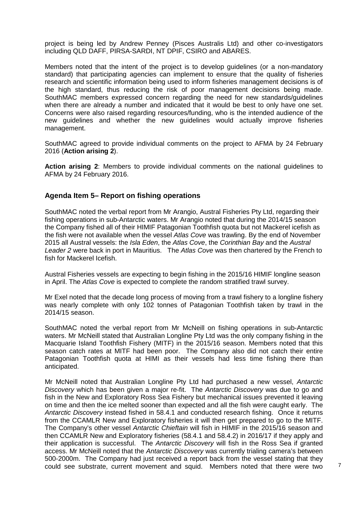project is being led by Andrew Penney (Pisces Australis Ltd) and other co-investigators including QLD DAFF, PIRSA-SARDI, NT DPIF, CSIRO and ABARES.

Members noted that the intent of the project is to develop guidelines (or a non-mandatory standard) that participating agencies can implement to ensure that the quality of fisheries research and scientific information being used to inform fisheries management decisions is of the high standard, thus reducing the risk of poor management decisions being made. SouthMAC members expressed concern regarding the need for new standards/guidelines when there are already a number and indicated that it would be best to only have one set. Concerns were also raised regarding resources/funding, who is the intended audience of the new guidelines and whether the new guidelines would actually improve fisheries management.

SouthMAC agreed to provide individual comments on the project to AFMA by 24 February 2016 (**Action arising 2**).

**Action arising 2**: Members to provide individual comments on the national guidelines to AFMA by 24 February 2016.

#### **Agenda Item 5– Report on fishing operations**

SouthMAC noted the verbal report from Mr Arangio, Austral Fisheries Pty Ltd, regarding their fishing operations in sub-Antarctic waters. Mr Arangio noted that during the 2014/15 season the Company fished all of their HIMIF Patagonian Toothfish quota but not Mackerel icefish as the fish were not available when the vessel *Atlas Cove* was trawling. By the end of November 2015 all Austral vessels: the *Isla Eden*, the *Atlas Cove*, the *Corinthian Bay* and the *Austral Leader 2* were back in port in Mauritius. The *Atlas Cove* was then chartered by the French to fish for Mackerel Icefish.

Austral Fisheries vessels are expecting to begin fishing in the 2015/16 HIMIF longline season in April. The *Atlas Cove* is expected to complete the random stratified trawl survey.

Mr Exel noted that the decade long process of moving from a trawl fishery to a longline fishery was nearly complete with only 102 tonnes of Patagonian Toothfish taken by trawl in the 2014/15 season.

SouthMAC noted the verbal report from Mr McNeill on fishing operations in sub-Antarctic waters. Mr McNeill stated that Australian Longline Pty Ltd was the only company fishing in the Macquarie Island Toothfish Fishery (MITF) in the 2015/16 season. Members noted that this season catch rates at MITF had been poor. The Company also did not catch their entire Patagonian Toothfish quota at HIMI as their vessels had less time fishing there than anticipated.

Mr McNeill noted that Australian Longline Pty Ltd had purchased a new vessel, *Antarctic Discovery* which has been given a major re-fit. The *Antarctic Discovery* was due to go and fish in the New and Exploratory Ross Sea Fishery but mechanical issues prevented it leaving on time and then the ice melted sooner than expected and all the fish were caught early. The *Antarctic Discovery* instead fished in 58.4.1 and conducted research fishing. Once it returns from the CCAMLR New and Exploratory fisheries it will then get prepared to go to the MITF. The Company's other vessel *Antarctic Chieftain* will fish in HIMIF in the 2015/16 season and then CCAMLR New and Exploratory fisheries (58.4.1 and 58.4.2) in 2016/17 if they apply and their application is successful. The *Antarctic Discovery* will fish in the Ross Sea if granted access. Mr McNeill noted that the *Antarctic Discovery* was currently trialing camera's between 500-2000m. The Company had just received a report back from the vessel stating that they could see substrate, current movement and squid. Members noted that there were two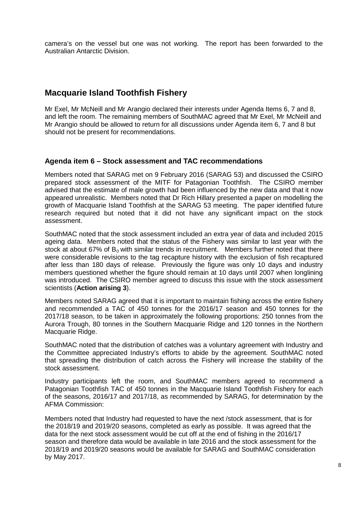camera's on the vessel but one was not working. The report has been forwarded to the Australian Antarctic Division.

# **Macquarie Island Toothfish Fishery**

Mr Exel, Mr McNeill and Mr Arangio declared their interests under Agenda Items 6, 7 and 8, and left the room. The remaining members of SouthMAC agreed that Mr Exel, Mr McNeill and Mr Arangio should be allowed to return for all discussions under Agenda item 6, 7 and 8 but should not be present for recommendations.

#### **Agenda item 6 – Stock assessment and TAC recommendations**

Members noted that SARAG met on 9 February 2016 (SARAG 53) and discussed the CSIRO prepared stock assessment of the MITF for Patagonian Toothfish. The CSIRO member advised that the estimate of male growth had been influenced by the new data and that it now appeared unrealistic. Members noted that Dr Rich Hillary presented a paper on modelling the growth of Macquarie Island Toothfish at the SARAG 53 meeting. The paper identified future research required but noted that it did not have any significant impact on the stock assessment.

SouthMAC noted that the stock assessment included an extra year of data and included 2015 ageing data. Members noted that the status of the Fishery was similar to last year with the stock at about 67% of  $B_0$  with similar trends in recruitment. Members further noted that there were considerable revisions to the tag recapture history with the exclusion of fish recaptured after less than 180 days of release. Previously the figure was only 10 days and industry members questioned whether the figure should remain at 10 days until 2007 when longlining was introduced. The CSIRO member agreed to discuss this issue with the stock assessment scientists (**Action arising 3**).

Members noted SARAG agreed that it is important to maintain fishing across the entire fishery and recommended a TAC of 450 tonnes for the 2016/17 season and 450 tonnes for the 2017/18 season, to be taken in approximately the following proportions: 250 tonnes from the Aurora Trough, 80 tonnes in the Southern Macquarie Ridge and 120 tonnes in the Northern Macquarie Ridge.

SouthMAC noted that the distribution of catches was a voluntary agreement with Industry and the Committee appreciated Industry's efforts to abide by the agreement. SouthMAC noted that spreading the distribution of catch across the Fishery will increase the stability of the stock assessment.

Industry participants left the room, and SouthMAC members agreed to recommend a Patagonian Toothfish TAC of 450 tonnes in the Macquarie Island Toothfish Fishery for each of the seasons, 2016/17 and 2017/18, as recommended by SARAG, for determination by the AFMA Commission:

Members noted that Industry had requested to have the next /stock assessment, that is for the 2018/19 and 2019/20 seasons, completed as early as possible. It was agreed that the data for the next stock assessment would be cut off at the end of fishing in the 2016/17 season and therefore data would be available in late 2016 and the stock assessment for the 2018/19 and 2019/20 seasons would be available for SARAG and SouthMAC consideration by May 2017.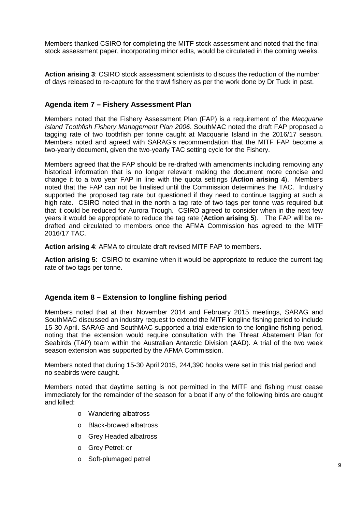Members thanked CSIRO for completing the MITF stock assessment and noted that the final stock assessment paper, incorporating minor edits, would be circulated in the coming weeks.

**Action arising 3**: CSIRO stock assessment scientists to discuss the reduction of the number of days released to re-capture for the trawl fishery as per the work done by Dr Tuck in past.

#### **Agenda item 7 – Fishery Assessment Plan**

Members noted that the Fishery Assessment Plan (FAP) is a requirement of the *Macquarie Island Toothfish Fishery Management Plan 2006*. SouthMAC noted the draft FAP proposed a tagging rate of two toothfish per tonne caught at Macquarie Island in the 2016/17 season. Members noted and agreed with SARAG's recommendation that the MITF FAP become a two-yearly document, given the two-yearly TAC setting cycle for the Fishery.

Members agreed that the FAP should be re-drafted with amendments including removing any historical information that is no longer relevant making the document more concise and change it to a two year FAP in line with the quota settings (**Action arising 4**). Members noted that the FAP can not be finalised until the Commission determines the TAC. Industry supported the proposed tag rate but questioned if they need to continue tagging at such a high rate. CSIRO noted that in the north a tag rate of two tags per tonne was required but that it could be reduced for Aurora Trough. CSIRO agreed to consider when in the next few years it would be appropriate to reduce the tag rate (**Action arising 5**). The FAP will be redrafted and circulated to members once the AFMA Commission has agreed to the MITF 2016/17 TAC.

**Action arising 4**: AFMA to circulate draft revised MITF FAP to members.

**Action arising 5**: CSIRO to examine when it would be appropriate to reduce the current tag rate of two tags per tonne.

#### **Agenda item 8 – Extension to longline fishing period**

Members noted that at their November 2014 and February 2015 meetings, SARAG and SouthMAC discussed an industry request to extend the MITF longline fishing period to include 15-30 April. SARAG and SouthMAC supported a trial extension to the longline fishing period, noting that the extension would require consultation with the Threat Abatement Plan for Seabirds (TAP) team within the Australian Antarctic Division (AAD). A trial of the two week season extension was supported by the AFMA Commission.

Members noted that during 15-30 April 2015, 244,390 hooks were set in this trial period and no seabirds were caught.

Members noted that daytime setting is not permitted in the MITF and fishing must cease immediately for the remainder of the season for a boat if any of the following birds are caught and killed:

- o Wandering albatross
- o Black-browed albatross
- o Grey Headed albatross
- o Grey Petrel: or
- o Soft-plumaged petrel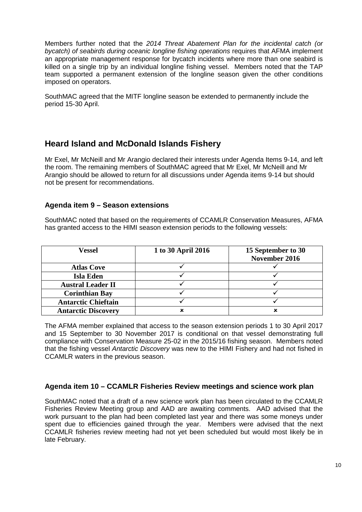Members further noted that the *2014 Threat Abatement Plan for the incidental catch (or bycatch) of seabirds during oceanic longline fishing operations* requires that AFMA implement an appropriate management response for bycatch incidents where more than one seabird is killed on a single trip by an individual longline fishing vessel. Members noted that the TAP team supported a permanent extension of the longline season given the other conditions imposed on operators.

SouthMAC agreed that the MITF longline season be extended to permanently include the period 15-30 April.

# **Heard Island and McDonald Islands Fishery**

Mr Exel, Mr McNeill and Mr Arangio declared their interests under Agenda Items 9-14, and left the room. The remaining members of SouthMAC agreed that Mr Exel, Mr McNeill and Mr Arangio should be allowed to return for all discussions under Agenda items 9-14 but should not be present for recommendations.

# **Agenda item 9 – Season extensions**

SouthMAC noted that based on the requirements of CCAMLR Conservation Measures, AFMA has granted access to the HIMI season extension periods to the following vessels:

| <b>Vessel</b>              | 1 to 30 April 2016 | 15 September to 30<br>November 2016 |
|----------------------------|--------------------|-------------------------------------|
| <b>Atlas Cove</b>          |                    |                                     |
| Isla Eden                  |                    |                                     |
| <b>Austral Leader II</b>   |                    |                                     |
| <b>Corinthian Bay</b>      |                    |                                     |
| <b>Antarctic Chieftain</b> |                    |                                     |
| <b>Antarctic Discovery</b> |                    |                                     |

The AFMA member explained that access to the season extension periods 1 to 30 April 2017 and 15 September to 30 November 2017 is conditional on that vessel demonstrating full compliance with Conservation Measure 25-02 in the 2015/16 fishing season. Members noted that the fishing vessel *Antarctic Discovery* was new to the HIMI Fishery and had not fished in CCAMLR waters in the previous season.

#### **Agenda item 10 – CCAMLR Fisheries Review meetings and science work plan**

SouthMAC noted that a draft of a new science work plan has been circulated to the CCAMLR Fisheries Review Meeting group and AAD are awaiting comments. AAD advised that the work pursuant to the plan had been completed last year and there was some moneys under spent due to efficiencies gained through the year. Members were advised that the next CCAMLR fisheries review meeting had not yet been scheduled but would most likely be in late February.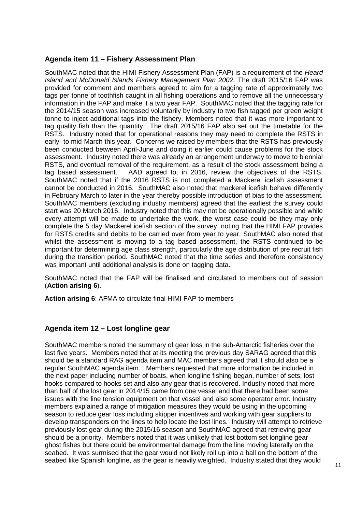# **Agenda item 11 – Fishery Assessment Plan**

SouthMAC noted that the HIMI Fishery Assessment Plan (FAP) is a requirement of the *Heard Island and McDonald Islands Fishery Management Plan 2002.* The draft 2015/16 FAP was provided for comment and members agreed to aim for a tagging rate of approximately two tags per tonne of toothfish caught in all fishing operations and to remove all the unnecessary information in the FAP and make it a two year FAP. SouthMAC noted that the tagging rate for the 2014/15 season was increased voluntarily by industry to two fish tagged per green weight tonne to inject additional tags into the fishery. Members noted that it was more important to tag quality fish than the quantity. The draft 2015/16 FAP also set out the timetable for the RSTS. Industry noted that for operational reasons they may need to complete the RSTS in early- to mid-March this year. Concerns we raised by members that the RSTS has previously been conducted between April-June and doing it earlier could cause problems for the stock assessment. Industry noted there was already an arrangement underway to move to biennial RSTS, and eventual removal of the requirement, as a result of the stock assessment being a tag based assessment. AAD agreed to, in 2016, review the objectives of the RSTS. SouthMAC noted that if the 2016 RSTS is not completed a Mackerel icefish assessment cannot be conducted in 2016. SouthMAC also noted that mackerel icefish behave differently in February March to later in the year thereby possible introduction of bias to the assessment. SouthMAC members (excluding industry members) agreed that the earliest the survey could start was 20 March 2016. Industry noted that this may not be operationally possible and while every attempt will be made to undertake the work, the worst case could be they may only complete the 5 day Mackerel icefish section of the survey, noting that the HIMI FAP provides for RSTS credits and debits to be carried over from year to year. SouthMAC also noted that whilst the assessment is moving to a tag based assessment, the RSTS continued to be important for determining age class strength, particularly the age distribution of pre recruit fish during the transition period. SouthMAC noted that the time series and therefore consistency was important until additional analysis is done on tagging data.

SouthMAC noted that the FAP will be finalised and circulated to members out of session (**Action arising 6**).

**Action arising 6**: AFMA to circulate final HIMI FAP to members

# **Agenda item 12 – Lost longline gear**

SouthMAC members noted the summary of gear loss in the sub-Antarctic fisheries over the last five years. Members noted that at its meeting the previous day SARAG agreed that this should be a standard RAG agenda item and MAC members agreed that it should also be a regular SouthMAC agenda item. Members requested that more information be included in the next paper including number of boats, when longline fishing began, number of sets, lost hooks compared to hooks set and also any gear that is recovered. Industry noted that more than half of the lost gear in 2014/15 came from one vessel and that there had been some issues with the line tension equipment on that vessel and also some operator error. Industry members explained a range of mitigation measures they would be using in the upcoming season to reduce gear loss including skipper incentives and working with gear suppliers to develop transponders on the lines to help locate the lost lines. Industry will attempt to retrieve previously lost gear during the 2015/16 season and SouthMAC agreed that retrieving gear should be a priority. Members noted that it was unlikely that lost bottom set longline gear ghost fishes but there could be environmental damage from the line moving laterally on the seabed. It was surmised that the gear would not likely roll up into a ball on the bottom of the seabed like Spanish longline, as the gear is heavily weighted. Industry stated that they would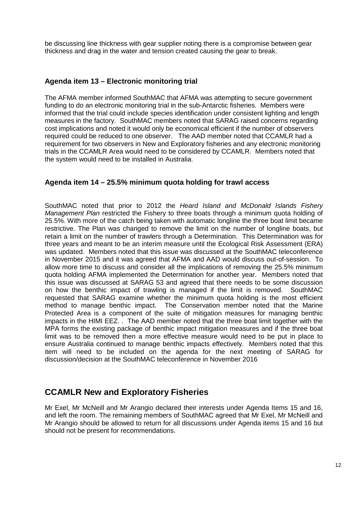be discussing line thickness with gear supplier noting there is a compromise between gear thickness and drag in the water and tension created causing the gear to break.

#### **Agenda item 13 – Electronic monitoring trial**

The AFMA member informed SouthMAC that AFMA was attempting to secure government funding to do an electronic monitoring trial in the sub-Antarctic fisheries. Members were informed that the trial could include species identification under consistent lighting and length measures in the factory. SouthMAC members noted that SARAG raised concerns regarding cost implications and noted it would only be economical efficient if the number of observers required could be reduced to one observer. The AAD member noted that CCAMLR had a requirement for two observers in New and Exploratory fisheries and any electronic monitoring trials in the CCAMLR Area would need to be considered by CCAMLR. Members noted that the system would need to be installed in Australia.

#### **Agenda item 14 – 25.5% minimum quota holding for trawl access**

SouthMAC noted that prior to 2012 the *Heard Island and McDonald Islands Fishery Management Plan* restricted the Fishery to three boats through a minimum quota holding of 25.5%. With more of the catch being taken with automatic longline the three boat limit became restrictive. The Plan was changed to remove the limit on the number of longline boats, but retain a limit on the number of trawlers through a Determination. This Determination was for three years and meant to be an interim measure until the Ecological Risk Assessment (ERA) was updated. Members noted that this issue was discussed at the SouthMAC teleconference in November 2015 and it was agreed that AFMA and AAD would discuss out-of-session. To allow more time to discuss and consider all the implications of removing the 25.5% minimum quota holding AFMA implemented the Determination for another year. Members noted that this issue was discussed at SARAG 53 and agreed that there needs to be some discussion on how the benthic impact of trawling is managed if the limit is removed. SouthMAC requested that SARAG examine whether the minimum quota holding is the most efficient method to manage benthic impact. The Conservation member noted that the Marine Protected Area is a component of the suite of mitigation measures for managing benthic impacts in the HIMI EEZ. . The AAD member noted that the three boat limit together with the MPA forms the existing package of benthic impact mitigation measures and if the three boat limit was to be removed then a more effective measure would need to be put in place to ensure Australia continued to manage benthic impacts effectively. Members noted that this item will need to be included on the agenda for the next meeting of SARAG for discussion/decision at the SouthMAC teleconference in November 2016

# **CCAMLR New and Exploratory Fisheries**

Mr Exel, Mr McNeill and Mr Arangio declared their interests under Agenda Items 15 and 16, and left the room. The remaining members of SouthMAC agreed that Mr Exel, Mr McNeill and Mr Arangio should be allowed to return for all discussions under Agenda items 15 and 16 but should not be present for recommendations.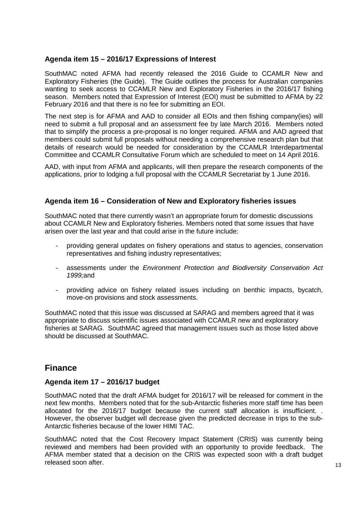# **Agenda item 15 – 2016/17 Expressions of Interest**

SouthMAC noted AFMA had recently released the 2016 Guide to CCAMLR New and Exploratory Fisheries (the Guide). The Guide outlines the process for Australian companies wanting to seek access to CCAMLR New and Exploratory Fisheries in the 2016/17 fishing season. Members noted that Expression of Interest (EOI) must be submitted to AFMA by 22 February 2016 and that there is no fee for submitting an EOI.

The next step is for AFMA and AAD to consider all EOIs and then fishing company(ies) will need to submit a full proposal and an assessment fee by late March 2016. Members noted that to simplify the process a pre-proposal is no longer required. AFMA and AAD agreed that members could submit full proposals without needing a comprehensive research plan but that details of research would be needed for consideration by the CCAMLR Interdepartmental Committee and CCAMLR Consultative Forum which are scheduled to meet on 14 April 2016.

AAD, with input from AFMA and applicants, will then prepare the research components of the applications, prior to lodging a full proposal with the CCAMLR Secretariat by 1 June 2016.

# **Agenda item 16 – Consideration of New and Exploratory fisheries issues**

SouthMAC noted that there currently wasn't an appropriate forum for domestic discussions about CCAMLR New and Exploratory fisheries. Members noted that some issues that have arisen over the last year and that could arise in the future include:

- providing general updates on fishery operations and status to agencies, conservation representatives and fishing industry representatives;
- assessments under the *Environment Protection and Biodiversity Conservation Act 1999;*and
- providing advice on fishery related issues including on benthic impacts, bycatch, move-on provisions and stock assessments.

SouthMAC noted that this issue was discussed at SARAG and members agreed that it was appropriate to discuss scientific issues associated with CCAMLR new and exploratory fisheries at SARAG. SouthMAC agreed that management issues such as those listed above should be discussed at SouthMAC.

# **Finance**

# **Agenda item 17 – 2016/17 budget**

SouthMAC noted that the draft AFMA budget for 2016/17 will be released for comment in the next few months. Members noted that for the sub-Antarctic fisheries more staff time has been allocated for the 2016/17 budget because the current staff allocation is insufficient. . However, the observer budget will decrease given the predicted decrease in trips to the sub-Antarctic fisheries because of the lower HIMI TAC.

SouthMAC noted that the Cost Recovery Impact Statement (CRIS) was currently being reviewed and members had been provided with an opportunity to provide feedback. The AFMA member stated that a decision on the CRIS was expected soon with a draft budget released soon after.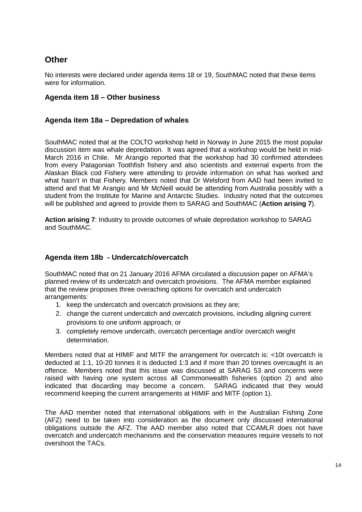# **Other**

No interests were declared under agenda items 18 or 19, SouthMAC noted that these items were for information.

# **Agenda item 18 – Other business**

# **Agenda item 18a – Depredation of whales**

SouthMAC noted that at the COLTO workshop held in Norway in June 2015 the most popular discussion item was whale depredation. It was agreed that a workshop would be held in mid-March 2016 in Chile. Mr Arangio reported that the workshop had 30 confirmed attendees from every Patagonian Toothfish fishery and also scientists and external experts from the Alaskan Black cod Fishery were attending to provide information on what has worked and what hasn't in that Fishery. Members noted that Dr Welsford from AAD had been invited to attend and that Mr Arangio and Mr McNeill would be attending from Australia possibly with a student from the Institute for Marine and Antarctic Studies. Industry noted that the outcomes will be published and agreed to provide them to SARAG and SouthMAC (**Action arising 7**).

**Action arising 7**: Industry to provide outcomes of whale depredation workshop to SARAG and SouthMAC.

# **Agenda item 18b - Undercatch/overcatch**

SouthMAC noted that on 21 January 2016 AFMA circulated a discussion paper on AFMA's planned review of its undercatch and overcatch provisions. The AFMA member explained that the review proposes three overaching options for overcatch and undercatch arrangements:

- 1. keep the undercatch and overcatch provisions as they are;
- 2. change the current undercatch and overcatch provisions, including aligning current provisions to one uniform approach; or
- 3. completely remove undercath, overcatch percentage and/or overcatch weight determination.

Members noted that at HIMIF and MITF the arrangement for overcatch is: <10t overcatch is deducted at 1:1, 10-20 tonnes it is deducted 1:3 and if more than 20 tonnes overcaught is an offence. Members noted that this issue was discussed at SARAG 53 and concerns were raised with having one system across all Commonwealth fisheries (option 2) and also indicated that discarding may become a concern. SARAG indicated that they would recommend keeping the current arrangements at HIMIF and MITF (option 1).

The AAD member noted that international obligations with in the Australian Fishing Zone (AFZ) need to be taken into consideration as the document only discussed international obligations outside the AFZ. The AAD member also noted that CCAMLR does not have overcatch and undercatch mechanisms and the conservation measures require vessels to not overshoot the TACs.